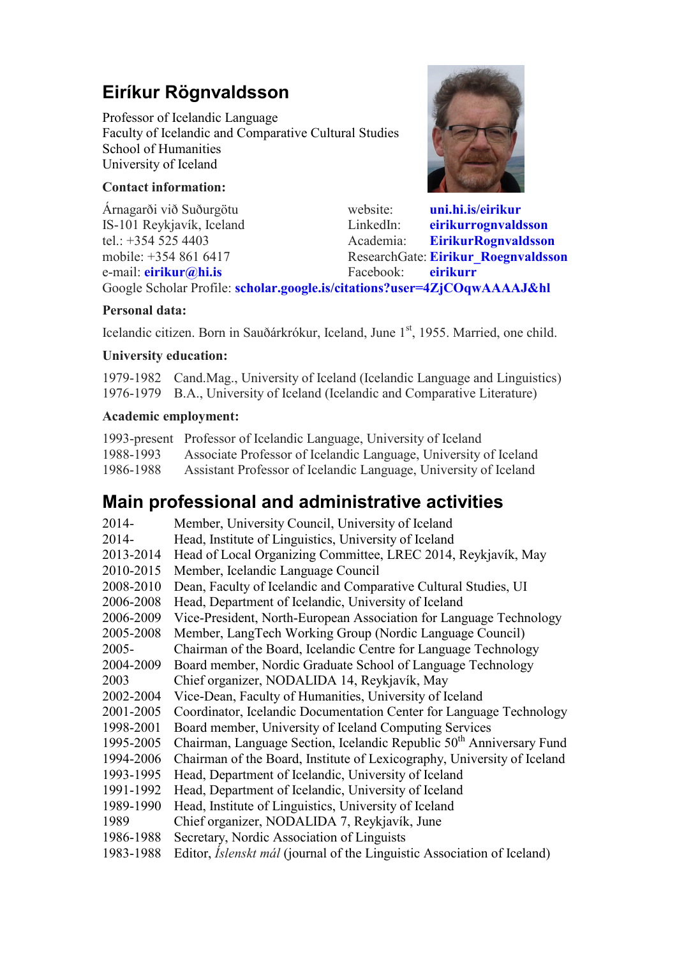# **Eiríkur Rögnvaldsson**

Professor of Icelandic Language Faculty of Icelandic and Comparative Cultural Studies School of Humanities University of Iceland

# **Contact information:**

e-mail: **eirikur@hi.is** Facebook: **eirikurr**

Árnagarði við Suðurgötu website: **uni.hi.is/eirikur** IS-101 Reykjavík, Iceland LinkedIn: **eirikurrognvaldsson** tel.: +354 525 4403 Academia: **EirikurRognvaldsson** mobile: +354 861 6417 ResearchGate: **Eirikur\_Roegnvaldsson**<br>
e-mail: **eirikur@hi.is** Facebook: **eirikurr** 

Google Scholar Profile: **scholar.google.is/citations?user=4ZjCOqwAAAAJ&hl**

## **Personal data:**

Icelandic citizen. Born in Sauðárkrókur, Iceland, June 1<sup>st</sup>, 1955. Married, one child.

### **University education:**

1979-1982 Cand.Mag., University of Iceland (Icelandic Language and Linguistics) 1976-1979 B.A., University of Iceland (Icelandic and Comparative Literature)

### **Academic employment:**

|           | 1993-present Professor of Icelandic Language, University of Iceland |
|-----------|---------------------------------------------------------------------|
| 1988-1993 | Associate Professor of Icelandic Language, University of Iceland    |
| 1986-1988 | Assistant Professor of Icelandic Language, University of Iceland    |

# **Main professional and administrative activities**

| Member, University Council, University of Iceland                                |
|----------------------------------------------------------------------------------|
| Head, Institute of Linguistics, University of Iceland                            |
| Head of Local Organizing Committee, LREC 2014, Reykjavík, May                    |
| Member, Icelandic Language Council                                               |
| Dean, Faculty of Icelandic and Comparative Cultural Studies, UI                  |
| Head, Department of Icelandic, University of Iceland                             |
| Vice-President, North-European Association for Language Technology               |
| Member, LangTech Working Group (Nordic Language Council)                         |
| Chairman of the Board, Icelandic Centre for Language Technology                  |
| Board member, Nordic Graduate School of Language Technology                      |
| Chief organizer, NODALIDA 14, Reykjavík, May                                     |
| Vice-Dean, Faculty of Humanities, University of Iceland                          |
| Coordinator, Icelandic Documentation Center for Language Technology              |
| Board member, University of Iceland Computing Services                           |
| Chairman, Language Section, Icelandic Republic 50 <sup>th</sup> Anniversary Fund |
| Chairman of the Board, Institute of Lexicography, University of Iceland          |
| Head, Department of Icelandic, University of Iceland                             |
| Head, Department of Icelandic, University of Iceland                             |
| Head, Institute of Linguistics, University of Iceland                            |
| Chief organizer, NODALIDA 7, Reykjavík, June                                     |
| Secretary, Nordic Association of Linguists                                       |
| Editor, <i>Islenskt mál</i> (journal of the Linguistic Association of Iceland)   |
|                                                                                  |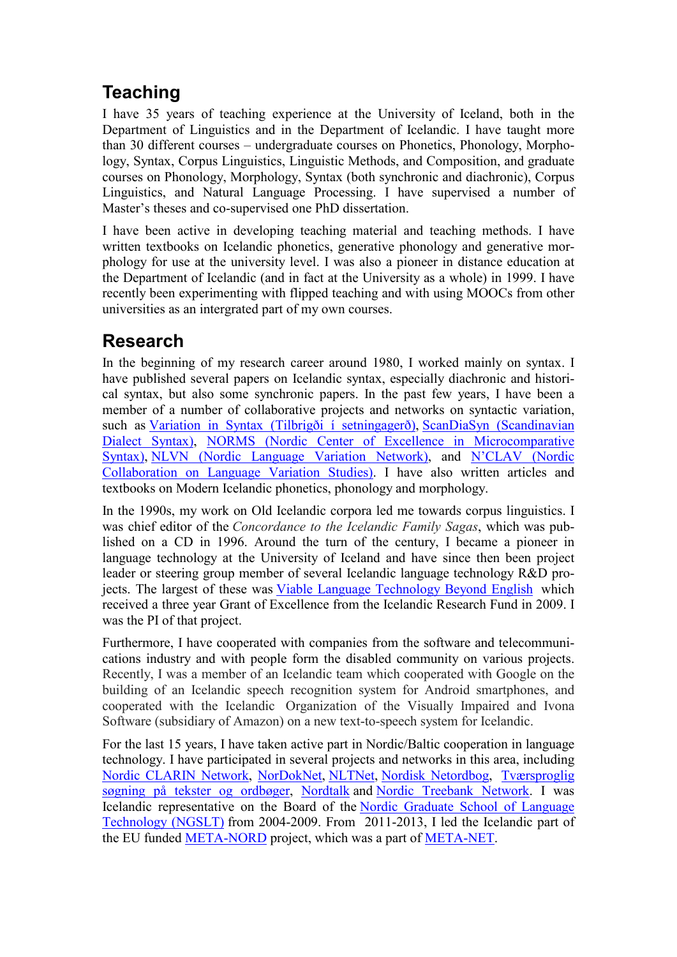# **Teaching**

I have 35 years of teaching experience at the University of Iceland, both in the Department of Linguistics and in the Department of Icelandic. I have taught more than 30 different courses – undergraduate courses on Phonetics, Phonology, Morphology, Syntax, Corpus Linguistics, Linguistic Methods, and Composition, and graduate courses on Phonology, Morphology, Syntax (both synchronic and diachronic), Corpus Linguistics, and Natural Language Processing. I have supervised a number of Master's theses and co-supervised one PhD dissertation.

I have been active in developing teaching material and teaching methods. I have written textbooks on Icelandic phonetics, generative phonology and generative morphology for use at the university level. I was also a pioneer in distance education at the Department of Icelandic (and in fact at the University as a whole) in 1999. I have recently been experimenting with flipped teaching and with using MOOCs from other universities as an intergrated part of my own courses.

# **Research**

In the beginning of my research career around 1980, I worked mainly on syntax. I have published several papers on Icelandic syntax, especially diachronic and historical syntax, but also some synchronic papers. In the past few years, I have been a member of a number of collaborative projects and networks on syntactic variation, such as Variation in Syntax (Tilbrigði í setningagerð), ScanDiaSyn (Scandinavian Dialect Syntax), NORMS (Nordic Center of Excellence in Microcomparative Syntax), NLVN (Nordic Language Variation Network), and N'CLAV (Nordic Collaboration on Language Variation Studies). I have also written articles and textbooks on Modern Icelandic phonetics, phonology and morphology.

In the 1990s, my work on Old Icelandic corpora led me towards corpus linguistics. I was chief editor of the *Concordance to the Icelandic Family Sagas*, which was published on a CD in 1996. Around the turn of the century, I became a pioneer in language technology at the University of Iceland and have since then been project leader or steering group member of several Icelandic language technology R&D projects. The largest of these was Viable Language Technology Beyond English which received a three year Grant of Excellence from the Icelandic Research Fund in 2009. I was the PI of that project.

Furthermore, I have cooperated with companies from the software and telecommunications industry and with people form the disabled community on various projects. Recently, I was a member of an Icelandic team which cooperated with Google on the building of an Icelandic speech recognition system for Android smartphones, and cooperated with the Icelandic Organization of the Visually Impaired and Ivona Software (subsidiary of Amazon) on a new text-to-speech system for Icelandic.

For the last 15 years, I have taken active part in Nordic/Baltic cooperation in language technology. I have participated in several projects and networks in this area, including Nordic CLARIN Network, NorDokNet, NLTNet, Nordisk Netordbog, Tværsproglig søgning på tekster og ordbøger, Nordtalk and Nordic Treebank Network. I was Icelandic representative on the Board of the Nordic Graduate School of Language Technology (NGSLT) from 2004-2009. From 2011-2013, I led the Icelandic part of the EU funded META-NORD project, which was a part of META-NET.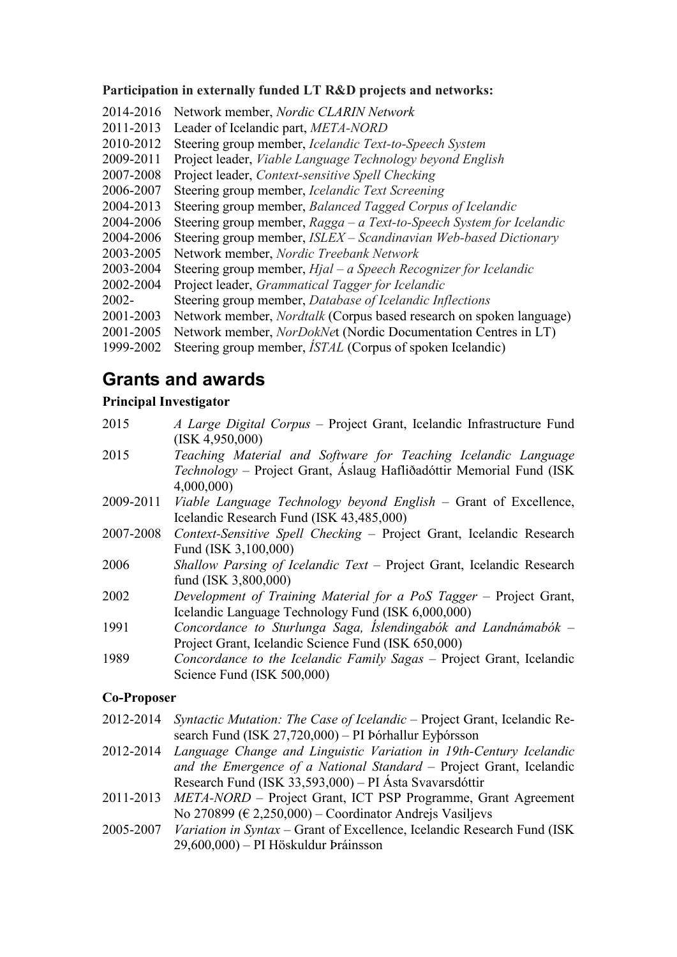## **Participation in externally funded LT R&D projects and networks:**

- 2014-2016 Network member, *Nordic CLARIN Network*
- 2011-2013 Leader of Icelandic part, *META-NORD*
- 2010-2012 Steering group member, *Icelandic Text-to-Speech System*
- 2009-2011 Project leader, *Viable Language Technology beyond English*
- 2007-2008 Project leader, *Context-sensitive Spell Checking*
- 2006-2007 Steering group member, *Icelandic Text Screening*
- 2004-2013 Steering group member, *Balanced Tagged Corpus of Icelandic*
- 2004-2006 Steering group member, *Ragga a Text-to-Speech System for Icelandic*
- 2004-2006 Steering group member, *ISLEX Scandinavian Web-based Dictionary*
- 2003-2005 Network member, *Nordic Treebank Network*
- 2003-2004 Steering group member, *Hjal a Speech Recognizer for Icelandic*
- 2002-2004 Project leader, *Grammatical Tagger for Icelandic*
- 2002- Steering group member, *Database of Icelandic Inflections*
- 2001-2003 Network member, *Nordtalk* (Corpus based research on spoken language)
- 2001-2005 Network member, *NorDokNe*t (Nordic Documentation Centres in LT)
- 1999-2002 Steering group member, *ÍSTAL* (Corpus of spoken Icelandic)

# **Grants and awards**

## **Principal Investigator**

2015 *A Large Digital Corpus* – Project Grant, Icelandic Infrastructure Fund (ISK 4,950,000) 2015 *Teaching Material and Software for Teaching Icelandic Language Technology* – Project Grant, Áslaug Hafliðadóttir Memorial Fund (ISK 4,000,000) 2009-2011 *Viable Language Technology beyond English* – Grant of Excellence, Icelandic Research Fund (ISK 43,485,000) 2007-2008 *Context-Sensitive Spell Checking* – Project Grant, Icelandic Research Fund (ISK 3,100,000) 2006 *Shallow Parsing of Icelandic Text* – Project Grant, Icelandic Research fund (ISK 3,800,000) 2002 *Development of Training Material for a PoS Tagger* – Project Grant, Icelandic Language Technology Fund (ISK 6,000,000) 1991 *Concordance to Sturlunga Saga, Íslendingabók and Landnámabók* – Project Grant, Icelandic Science Fund (ISK 650,000) 1989 *Concordance to the Icelandic Family Sagas* – Project Grant, Icelandic Science Fund (ISK 500,000)

## **Co-Proposer**

- 2012-2014 *Syntactic Mutation: The Case of Icelandic* Project Grant, Icelandic Research Fund (ISK 27,720,000) – PI Þórhallur Eyþórsson
- 2012-2014 *Language Change and Linguistic Variation in 19th-Century Icelandic and the Emergence of a National Standard* – Project Grant, Icelandic Research Fund (ISK 33,593,000) – PI Ásta Svavarsdóttir
- 2011-2013 *META-NORD* Project Grant, ICT PSP Programme, Grant Agreement No 270899 ( $\in$  2,250,000) – Coordinator Andrejs Vasiljevs
- 2005-2007 *Variation in Syntax* Grant of Excellence, Icelandic Research Fund (ISK 29,600,000) – PI Höskuldur Þráinsson